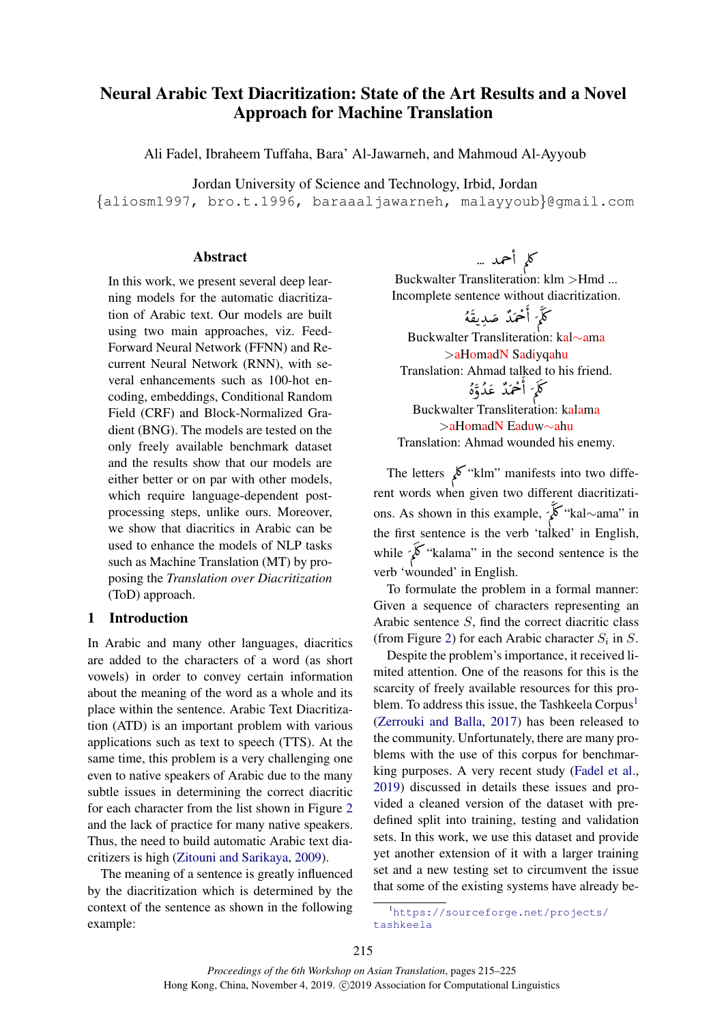# Neural Arabic Text Diacritization: State of the Art Results and a Novel Approach for Machine Translation

Ali Fadel, Ibraheem Tuffaha, Bara' Al-Jawarneh, and Mahmoud Al-Ayyoub

Jordan University of Science and Technology, Irbid, Jordan

{aliosm1997, bro.t.1996, baraaaljawarneh, malayyoub}@gmail.com

#### Abstract

In this work, we present several deep learning models for the automatic diacritization of Arabic text. Our models are built using two main approaches, viz. Feed-Forward Neural Network (FFNN) and Recurrent Neural Network (RNN), with several enhancements such as 100-hot encoding, embeddings, Conditional Random Field (CRF) and Block-Normalized Gradient (BNG). The models are tested on the only freely available benchmark dataset and the results show that our models are either better or on par with other models, which require language-dependent postprocessing steps, unlike ours. Moreover, we show that diacritics in Arabic can be used to enhance the models of NLP tasks such as Machine Translation (MT) by proposing the *Translation over Diacritization* (ToD) approach.

## 1 Introduction

In Arabic and many other languages, diacritics are added to the characters of a word (as short vowels) in order to convey certain information about the meaning of the word as a whole and its place within the sentence. Arabic Text Diacritization (ATD) is an important problem with various applications such as text to speech (TTS). At the same time, this problem is a very challenging one even to native speakers of Arabic due to the many subtle issues in determining the correct diacritic for each character from the list shown in Figure [2](#page-2-0) and the lack of practice for many native speakers. Thus, the need to build automatic Arabic text diacritizers is high [\(Zitouni and Sarikaya,](#page-10-0) [2009\)](#page-10-0).

The meaning of a sentence is greatly influenced by the diacritization which is determined by the context of the sentence as shown in the following example:

كلم أحمد … e<br>S

Buckwalter Transliteration: klm >Hmd ... Incomplete sentence without diacritization. ا:<br>ر וו<br>-וו<br>ה Λ<br>ν  $\frac{1}{2}$ ا:<br>'  $\mathbf{R}$ ון<br>ז  $\frac{1}{2}$ ا!<br>ء  $\ddot{\phantom{0}}$ 

, and it is a set of the set of the set of the set of the set of the set of the set of the set of the set of t<br>كَلَّمَ أَحْمَدٌ صَدِيقَهُ ر<br>پ l<br>J @ .<br>. Õ Buckwalter Transliteration: kal∼ama >aHomadN Sadiyqahu Translation: Ahmad talked to his friend. r<br>J  $\overline{\phantom{0}}$ ll<br>J ו<br>נ l<br>J ا<br>a<br>. j  $\frac{1}{2}$  $\mathbf 0$  $\mathbf{I}$ 

#### è ו<br>ג mmad uahed<br>كاَرَ أَحْمَدٌ عَدُّةٌ، l<br>J @ .<br>ما Õ

Buckwalter Transliteration: kalama >aHomadN Eaduw∼ahu Translation: Ahmad wounded his enemy.

The letters  $\chi^{\text{th}}$  "klm" manifests into two different words when given two different diacritizations. As shown in this example, ∠windows when the sample,  $\overrightarrow{\mathbf{z}}$  "kal~ama" in Õ :1 ا:<br>د r<br>: the first sentence is the verb 'talked' in English,<br>while  $\overrightarrow{\mathbf{X}}$  "kalama" in the second sentence is the Õ  $\overline{\phantom{a}}$  $\overline{a}$ verb 'wounded' in English.

To formulate the problem in a formal manner: Given a sequence of characters representing an Arabic sentence S, find the correct diacritic class (from Figure [2\)](#page-2-0) for each Arabic character  $S_i$  in S.

Despite the problem's importance, it received limited attention. One of the reasons for this is the scarcity of freely available resources for this pro-blem. To address this issue, the Tashkeela Corpus<sup>[1](#page-0-0)</sup> [\(Zerrouki and Balla,](#page-10-1) [2017\)](#page-10-1) has been released to the community. Unfortunately, there are many problems with the use of this corpus for benchmarking purposes. A very recent study [\(Fadel et al.,](#page-9-0) [2019\)](#page-9-0) discussed in details these issues and provided a cleaned version of the dataset with predefined split into training, testing and validation sets. In this work, we use this dataset and provide yet another extension of it with a larger training set and a new testing set to circumvent the issue that some of the existing systems have already be-

<span id="page-0-0"></span><sup>1</sup>[https://sourceforge.net/projects/](https://sourceforge.net/projects/tashkeela) [tashkeela](https://sourceforge.net/projects/tashkeela)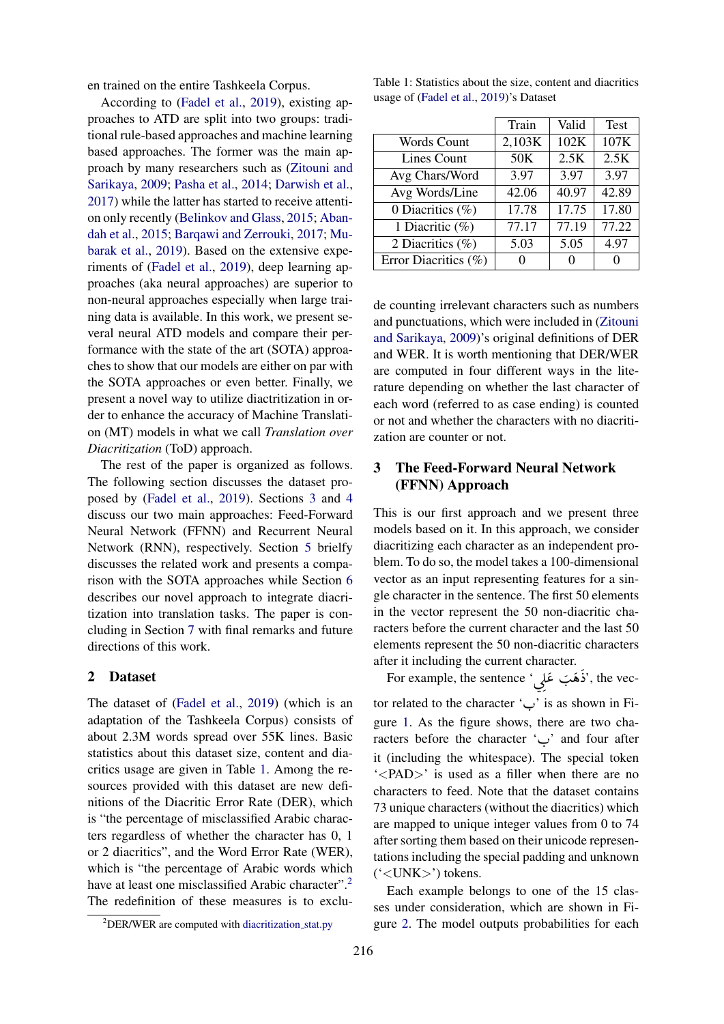en trained on the entire Tashkeela Corpus.

According to [\(Fadel et al.,](#page-9-0) [2019\)](#page-9-0), existing approaches to ATD are split into two groups: traditional rule-based approaches and machine learning based approaches. The former was the main approach by many researchers such as [\(Zitouni and](#page-10-0) [Sarikaya,](#page-10-0) [2009;](#page-10-0) [Pasha et al.,](#page-9-1) [2014;](#page-9-1) [Darwish et al.,](#page-9-2) [2017\)](#page-9-2) while the latter has started to receive attention only recently [\(Belinkov and Glass,](#page-9-3) [2015;](#page-9-3) [Aban](#page-9-4)[dah et al.,](#page-9-4) [2015;](#page-9-4) [Barqawi and Zerrouki,](#page-9-5) [2017;](#page-9-5) [Mu](#page-9-6)[barak et al.,](#page-9-6) [2019\)](#page-9-6). Based on the extensive experiments of [\(Fadel et al.,](#page-9-0) [2019\)](#page-9-0), deep learning approaches (aka neural approaches) are superior to non-neural approaches especially when large training data is available. In this work, we present several neural ATD models and compare their performance with the state of the art (SOTA) approaches to show that our models are either on par with the SOTA approaches or even better. Finally, we present a novel way to utilize diactritization in order to enhance the accuracy of Machine Translation (MT) models in what we call *Translation over Diacritization* (ToD) approach.

The rest of the paper is organized as follows. The following section discusses the dataset proposed by [\(Fadel et al.,](#page-9-0) [2019\)](#page-9-0). Sections [3](#page-1-0) and [4](#page-2-1) discuss our two main approaches: Feed-Forward Neural Network (FFNN) and Recurrent Neural Network (RNN), respectively. Section [5](#page-4-0) brielfy discusses the related work and presents a comparison with the SOTA approaches while Section [6](#page-6-0) describes our novel approach to integrate diacritization into translation tasks. The paper is concluding in Section [7](#page-8-0) with final remarks and future directions of this work.

#### 2 Dataset

The dataset of [\(Fadel et al.,](#page-9-0) [2019\)](#page-9-0) (which is an adaptation of the Tashkeela Corpus) consists of about 2.3M words spread over 55K lines. Basic statistics about this dataset size, content and diacritics usage are given in Table [1.](#page-1-1) Among the resources provided with this dataset are new definitions of the Diacritic Error Rate (DER), which is "the percentage of misclassified Arabic characters regardless of whether the character has 0, 1 or 2 diacritics", and the Word Error Rate (WER), which is "the percentage of Arabic words which have at least one misclassified Arabic character".<sup>[2](#page-1-2)</sup> The redefinition of these measures is to exclu-

<span id="page-1-1"></span>

|                               | Train  | Valid | <b>Test</b> |
|-------------------------------|--------|-------|-------------|
| <b>Words Count</b>            | 2,103K | 102K  | 107K        |
| Lines Count                   | 50K    | 2.5K  | 2.5K        |
| Avg Chars/Word                | 3.97   | 3.97  | 3.97        |
| Avg Words/Line                | 42.06  | 40.97 | 42.89       |
| $\overline{0}$ Diacritics (%) | 17.78  | 17.75 | 17.80       |
| 1 Diacritic $(\%)$            | 77.17  | 77.19 | 77.22       |
| 2 Diacritics $(\%)$           | 5.03   | 5.05  | 4.97        |
| Error Diacritics (%)          | 0      | 0     | ∩           |

de counting irrelevant characters such as numbers and punctuations, which were included in [\(Zitouni](#page-10-0) [and Sarikaya,](#page-10-0) [2009\)](#page-10-0)'s original definitions of DER and WER. It is worth mentioning that DER/WER are computed in four different ways in the literature depending on whether the last character of each word (referred to as case ending) is counted or not and whether the characters with no diacritization are counter or not.

## <span id="page-1-0"></span>3 The Feed-Forward Neural Network (FFNN) Approach

This is our first approach and we present three models based on it. In this approach, we consider diacritizing each character as an independent problem. To do so, the model takes a 100-dimensional vector as an input representing features for a single character in the sentence. The first 50 elements in the vector represent the 50 non-diacritic characters before the current character and the last 50 elements represent the 50 non-diacritic characters after it including the current character. j  $\vdots$  $\overline{\phantom{a}}$  $\ddot{\phantom{0}}$ 

er it including the current character.<br>For example, the sentence 'ذَهَبَ غَلِي', the vec- $\overline{\phantom{0}}$ إ . tor related to the character ' $\frac{H}{V}$  is as shown in Figure [1.](#page-2-2) As the figure shows, there are two characters before the character  $\sim$  and four after it (including the whitespace). The special token  $\angle$ PAD $>$ ' is used as a filler when there are no characters to feed. Note that the dataset contains 73 unique characters (without the diacritics) which are mapped to unique integer values from 0 to 74 after sorting them based on their unicode representations including the special padding and unknown ('<UNK>') tokens.

Each example belongs to one of the 15 classes under consideration, which are shown in Figure [2.](#page-2-0) The model outputs probabilities for each

<span id="page-1-2"></span><sup>&</sup>lt;sup>2</sup>DER/WER are computed with [diacritization](https://github.com/AliOsm/arabic-text-diacritization/blob/master/helpers/diacritization_stat.py)\_stat.py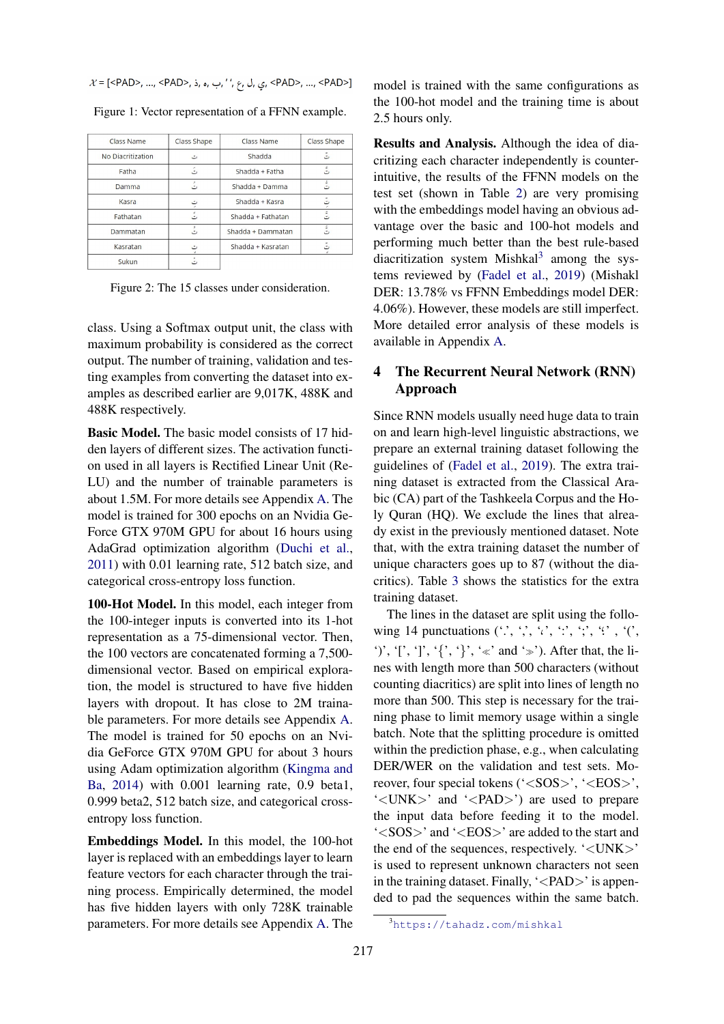<span id="page-2-2"></span>

<span id="page-2-0"></span>

| Class Name        | Class Shape | Class Name        | Class Shape |
|-------------------|-------------|-------------------|-------------|
| No Diacritization | ت           | Shadda            | ت           |
| Fatha             | تَ          | Shadda + Fatha    | ت           |
| Damma             | ت           | Shadda + Damma    | ت           |
| Kasra             | ت           | Shadda + Kasra    | ت           |
| Fathatan          | ت           | Shadda + Fathatan | تن          |
| Dammatan          | ت           | Shadda + Dammatan |             |
| Kasratan          | ت           | Shadda + Kasratan |             |
| Sukun             | ت           |                   |             |

Figure 1: Vector representation of a FFNN example.

Figure 2: The 15 classes under consideration.

class. Using a Softmax output unit, the class with maximum probability is considered as the correct output. The number of training, validation and testing examples from converting the dataset into examples as described earlier are 9,017K, 488K and 488K respectively.

Basic Model. The basic model consists of 17 hidden layers of different sizes. The activation function used in all layers is Rectified Linear Unit (Re-LU) and the number of trainable parameters is about 1.5M. For more details see Appendix [A.](#page--1-0) The model is trained for 300 epochs on an Nvidia Ge-Force GTX 970M GPU for about 16 hours using AdaGrad optimization algorithm [\(Duchi et al.,](#page-9-7) [2011\)](#page-9-7) with 0.01 learning rate, 512 batch size, and categorical cross-entropy loss function.

100-Hot Model. In this model, each integer from the 100-integer inputs is converted into its 1-hot representation as a 75-dimensional vector. Then, the 100 vectors are concatenated forming a 7,500 dimensional vector. Based on empirical exploration, the model is structured to have five hidden layers with dropout. It has close to 2M trainable parameters. For more details see Appendix [A.](#page--1-0) The model is trained for 50 epochs on an Nvidia GeForce GTX 970M GPU for about 3 hours using Adam optimization algorithm [\(Kingma and](#page-9-8) [Ba,](#page-9-8) [2014\)](#page-9-8) with 0.001 learning rate, 0.9 beta1, 0.999 beta2, 512 batch size, and categorical crossentropy loss function.

Embeddings Model. In this model, the 100-hot layer is replaced with an embeddings layer to learn feature vectors for each character through the training process. Empirically determined, the model has five hidden layers with only 728K trainable parameters. For more details see Appendix [A.](#page--1-0) The model is trained with the same configurations as the 100-hot model and the training time is about 2.5 hours only.

Results and Analysis. Although the idea of diacritizing each character independently is counterintuitive, the results of the FFNN models on the test set (shown in Table [2\)](#page-3-0) are very promising with the embeddings model having an obvious advantage over the basic and 100-hot models and performing much better than the best rule-based diacritization system Mishkal<sup>[3](#page-2-3)</sup> among the systems reviewed by [\(Fadel et al.,](#page-9-0) [2019\)](#page-9-0) (Mishakl DER: 13.78% vs FFNN Embeddings model DER: 4.06%). However, these models are still imperfect. More detailed error analysis of these models is available in Appendix [A.](#page--1-0)

## <span id="page-2-1"></span>4 The Recurrent Neural Network (RNN) Approach

Since RNN models usually need huge data to train on and learn high-level linguistic abstractions, we prepare an external training dataset following the guidelines of [\(Fadel et al.,](#page-9-0) [2019\)](#page-9-0). The extra training dataset is extracted from the Classical Arabic (CA) part of the Tashkeela Corpus and the Holy Quran (HQ). We exclude the lines that already exist in the previously mentioned dataset. Note that, with the extra training dataset the number of unique characters goes up to 87 (without the diacritics). Table [3](#page-3-1) shows the statistics for the extra training dataset.

The lines in the dataset are split using the following 14 punctuations  $( \cdot', \cdot', \cdot', \cdot', \cdot'; \cdot', \cdot'; \cdot', \cdot'')$ ')', '[', ']', '{', '}', ' $\ll$ ' and ' $\gg$ '). After that, the lines with length more than 500 characters (without counting diacritics) are split into lines of length no more than 500. This step is necessary for the training phase to limit memory usage within a single batch. Note that the splitting procedure is omitted within the prediction phase, e.g., when calculating DER/WER on the validation and test sets. Moreover, four special tokens ('<SOS>', '<EOS>',  $'\langle UNK \rangle'$  and  $'\langle PAD \rangle'$  are used to prepare the input data before feeding it to the model. '<SOS>' and '<EOS>' are added to the start and the end of the sequences, respectively. '<UNK>' is used to represent unknown characters not seen in the training dataset. Finally,  $\langle$  -  $PAD$  is appended to pad the sequences within the same batch.

<span id="page-2-3"></span><sup>3</sup><https://tahadz.com/mishkal>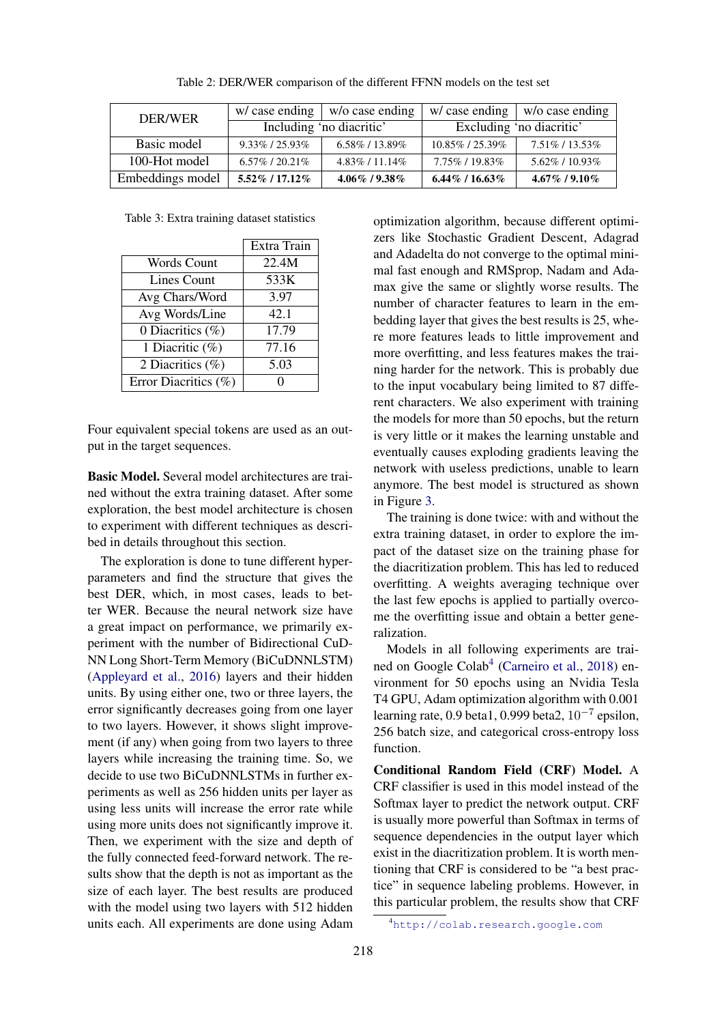<span id="page-3-0"></span>

| <b>DER/WER</b>   | w/case ending            | $ $ w/o case ending |                          | $w/case$ ending $ w/o$ case ending |
|------------------|--------------------------|---------------------|--------------------------|------------------------------------|
|                  | Including 'no diacritic' |                     | Excluding 'no diacritic' |                                    |
| Basic model      | $9.33\%$ / 25.93%        | $6.58\%$ / 13.89%   | $10.85\%$ / 25.39\%      | 7.51\% / 13.53\%                   |
| 100-Hot model    | $6.57\%$ / 20.21\%       | $4.83\%$ / 11.14\%  | 7.75%/19.83%             | $5.62\%$ / 10.93%                  |
| Embeddings model | $5.52\%$ / 17.12\%       | $4.06\%$ / 9.38%    | $6.44\%$ / 16.63%        | $4.67\%$ / 9.10%                   |

Table 2: DER/WER comparison of the different FFNN models on the test set

<span id="page-3-1"></span>Table 3: Extra training dataset statistics

|                      | Extra Train |
|----------------------|-------------|
| Words Count          | 22.4M       |
| Lines Count          | 533K        |
| Avg Chars/Word       | 3.97        |
| Avg Words/Line       | 42.1        |
| 0 Diacritics (%)     | 17.79       |
| 1 Diacritic (%)      | 77.16       |
| 2 Diacritics (%)     | 5.03        |
| Error Diacritics (%) |             |

Four equivalent special tokens are used as an output in the target sequences.

Basic Model. Several model architectures are trained without the extra training dataset. After some exploration, the best model architecture is chosen to experiment with different techniques as described in details throughout this section.

The exploration is done to tune different hyperparameters and find the structure that gives the best DER, which, in most cases, leads to better WER. Because the neural network size have a great impact on performance, we primarily experiment with the number of Bidirectional CuD-NN Long Short-Term Memory (BiCuDNNLSTM) [\(Appleyard et al.,](#page-9-9) [2016\)](#page-9-9) layers and their hidden units. By using either one, two or three layers, the error significantly decreases going from one layer to two layers. However, it shows slight improvement (if any) when going from two layers to three layers while increasing the training time. So, we decide to use two BiCuDNNLSTMs in further experiments as well as 256 hidden units per layer as using less units will increase the error rate while using more units does not significantly improve it. Then, we experiment with the size and depth of the fully connected feed-forward network. The results show that the depth is not as important as the size of each layer. The best results are produced with the model using two layers with 512 hidden units each. All experiments are done using Adam

optimization algorithm, because different optimizers like Stochastic Gradient Descent, Adagrad and Adadelta do not converge to the optimal minimal fast enough and RMSprop, Nadam and Adamax give the same or slightly worse results. The number of character features to learn in the embedding layer that gives the best results is 25, where more features leads to little improvement and more overfitting, and less features makes the training harder for the network. This is probably due to the input vocabulary being limited to 87 different characters. We also experiment with training the models for more than 50 epochs, but the return is very little or it makes the learning unstable and eventually causes exploding gradients leaving the network with useless predictions, unable to learn anymore. The best model is structured as shown in Figure [3.](#page-4-1)

The training is done twice: with and without the extra training dataset, in order to explore the impact of the dataset size on the training phase for the diacritization problem. This has led to reduced overfitting. A weights averaging technique over the last few epochs is applied to partially overcome the overfitting issue and obtain a better generalization.

Models in all following experiments are trai-ned on Google Colab<sup>[4](#page-3-2)</sup> [\(Carneiro et al.,](#page-9-10) [2018\)](#page-9-10) environment for 50 epochs using an Nvidia Tesla T4 GPU, Adam optimization algorithm with 0.001 learning rate, 0.9 beta1, 0.999 beta2,  $10^{-7}$  epsilon, 256 batch size, and categorical cross-entropy loss function.

Conditional Random Field (CRF) Model. A CRF classifier is used in this model instead of the Softmax layer to predict the network output. CRF is usually more powerful than Softmax in terms of sequence dependencies in the output layer which exist in the diacritization problem. It is worth mentioning that CRF is considered to be "a best practice" in sequence labeling problems. However, in this particular problem, the results show that CRF

<span id="page-3-2"></span><sup>4</sup><http://colab.research.google.com>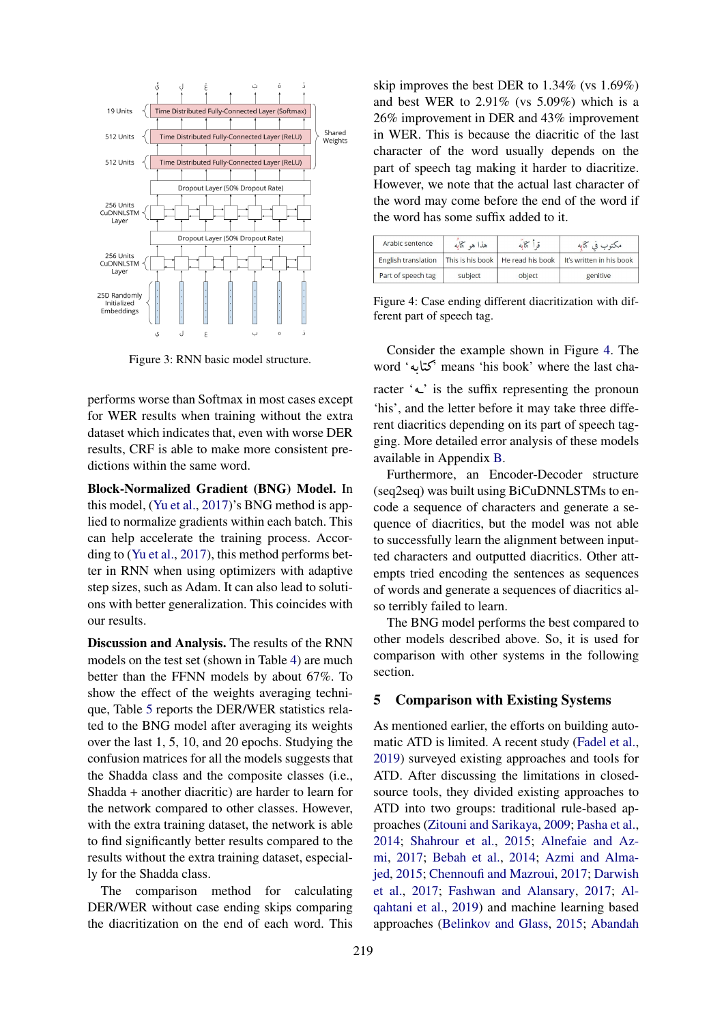<span id="page-4-1"></span>

Figure 3: RNN basic model structure.

performs worse than Softmax in most cases except for WER results when training without the extra dataset which indicates that, even with worse DER results, CRF is able to make more consistent predictions within the same word.

Block-Normalized Gradient (BNG) Model. In this model, [\(Yu et al.,](#page-9-11) [2017\)](#page-9-11)'s BNG method is applied to normalize gradients within each batch. This can help accelerate the training process. According to [\(Yu et al.,](#page-9-11) [2017\)](#page-9-11), this method performs better in RNN when using optimizers with adaptive step sizes, such as Adam. It can also lead to solutions with better generalization. This coincides with our results.

Discussion and Analysis. The results of the RNN models on the test set (shown in Table [4\)](#page-5-0) are much better than the FFNN models by about 67%. To show the effect of the weights averaging technique, Table [5](#page-5-1) reports the DER/WER statistics related to the BNG model after averaging its weights over the last 1, 5, 10, and 20 epochs. Studying the confusion matrices for all the models suggests that the Shadda class and the composite classes (i.e., Shadda + another diacritic) are harder to learn for the network compared to other classes. However, with the extra training dataset, the network is able to find significantly better results compared to the results without the extra training dataset, especially for the Shadda class.

The comparison method for calculating DER/WER without case ending skips comparing the diacritization on the end of each word. This

skip improves the best DER to 1.34% (vs 1.69%) and best WER to 2.91% (vs 5.09%) which is a 26% improvement in DER and 43% improvement in WER. This is because the diacritic of the last character of the word usually depends on the part of speech tag making it harder to diacritize. However, we note that the actual last character of the word may come before the end of the word if the word has some suffix added to it.

<span id="page-4-2"></span>

| Arabic sentence            | هذا هو كتابه | قاكاته                              | مكتوب في كتابه           |
|----------------------------|--------------|-------------------------------------|--------------------------|
| <b>English translation</b> |              | This is his book   He read his book | It's written in his book |
| Part of speech tag         | subject      | object                              | genitive                 |

Figure 4: Case ending different diacritization with different part of speech tag.

Consider the example shown in Figure [4.](#page-4-2) The word ' $\sim$  means 'his book' where the last cha-<br>Record ' $\sim$ ' means 'his book' where the last cha-. .<br>ا l<br>.. racter  $\sim$  is the suffix representing the pronoun 'his', and the letter before it may take three different diacritics depending on its part of speech tagging. More detailed error analysis of these models available in Appendix [B.](#page--1-1)

Furthermore, an Encoder-Decoder structure (seq2seq) was built using BiCuDNNLSTMs to encode a sequence of characters and generate a sequence of diacritics, but the model was not able to successfully learn the alignment between inputted characters and outputted diacritics. Other attempts tried encoding the sentences as sequences of words and generate a sequences of diacritics also terribly failed to learn.

The BNG model performs the best compared to other models described above. So, it is used for comparison with other systems in the following section.

### <span id="page-4-0"></span>5 Comparison with Existing Systems

As mentioned earlier, the efforts on building automatic ATD is limited. A recent study [\(Fadel et al.,](#page-9-0) [2019\)](#page-9-0) surveyed existing approaches and tools for ATD. After discussing the limitations in closedsource tools, they divided existing approaches to ATD into two groups: traditional rule-based approaches [\(Zitouni and Sarikaya,](#page-10-0) [2009;](#page-10-0) [Pasha et al.,](#page-9-1) [2014;](#page-9-1) [Shahrour et al.,](#page-9-12) [2015;](#page-9-12) [Alnefaie and Az](#page-9-13)[mi,](#page-9-13) [2017;](#page-9-13) [Bebah et al.,](#page-9-14) [2014;](#page-9-14) [Azmi and Alma](#page-9-15)[jed,](#page-9-15) [2015;](#page-9-15) [Chennoufi and Mazroui,](#page-9-16) [2017;](#page-9-16) [Darwish](#page-9-2) [et al.,](#page-9-2) [2017;](#page-9-2) [Fashwan and Alansary,](#page-9-17) [2017;](#page-9-17) [Al](#page-9-18)[qahtani et al.,](#page-9-18) [2019\)](#page-9-18) and machine learning based approaches [\(Belinkov and Glass,](#page-9-3) [2015;](#page-9-3) [Abandah](#page-9-4)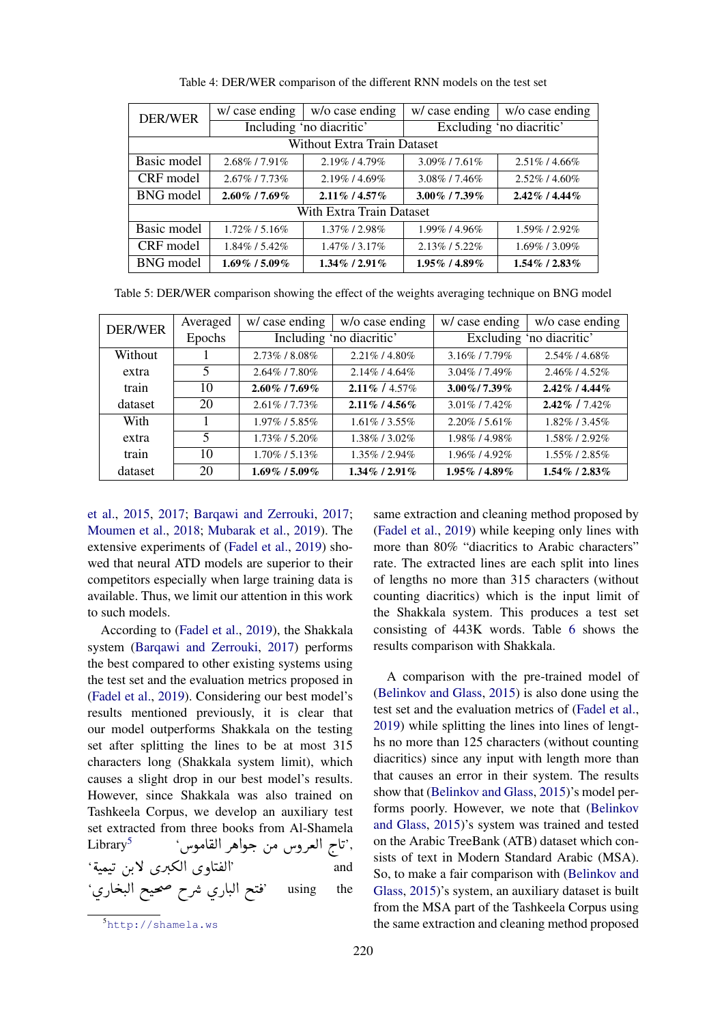<span id="page-5-0"></span>

| DER/WER                  | w/ case ending    | w/o case ending             | w/ case ending      | w/o case ending          |
|--------------------------|-------------------|-----------------------------|---------------------|--------------------------|
|                          |                   | Including 'no diacritic'    |                     | Excluding 'no diacritic' |
|                          |                   | Without Extra Train Dataset |                     |                          |
| Basic model              | 2.68%/7.91%       | 2.19%/4.79%                 | $3.09\%$ / 7.61\%   | $2.51\%$ / 4.66%         |
| CRF model                | $2.67\%$ / 7.73\% | $2.19\%$ / 4.69%            | 3.08%/7.46%         | $2.52\%$ / 4.60%         |
| BNG model                | $2.60\%$ / 7.69%  | $2.11\%$ / 4.57%            | $3.00\%$ / 7.39%    | $2.42\%$ / 4.44%         |
| With Extra Train Dataset |                   |                             |                     |                          |
| Basic model              | $1.72\%$ / 5.16\% | 1.37% / 2.98%               | 1.99%/4.96%         | 1.59%/2.92%              |
| CRF model                | 1.84% / 5.42%     | 1.47% / 3.17%               | $2.13\%$ / 5.22%    | $1.69\%$ / 3.09%         |
| BNG model                | $1.69\%$ / 5.09%  | $1.34\%$ / 2.91%            | $1.95\%$ / $4.89\%$ | $1.54\%$ / $2.83\%$      |

Table 4: DER/WER comparison of the different RNN models on the test set

<span id="page-5-1"></span>Table 5: DER/WER comparison showing the effect of the weights averaging technique on BNG model

| <b>DER/WER</b> | Averaged | w/ case ending    | w/o case ending          | w/ case ending           | w/o case ending     |
|----------------|----------|-------------------|--------------------------|--------------------------|---------------------|
|                | Epochs   |                   | Including 'no diacritic' | Excluding 'no diacritic' |                     |
| Without        |          | $2.73\%$ / 8.08%  | $2.21\%$ / 4.80%         | 3.16%/7.79%              | 2.54% / 4.68%       |
| extra          | 5        | 2.64%/7.80%       | $2.14\%$ / 4.64\%        | $3.04\%$ / 7.49%         | $2.46\%$ / $4.52\%$ |
| train          | 10       | $2.60\%$ / 7.69%  | $2.11\%$ / 4.57%         | $3.00\%$ / 7.39%         | $2.42\%$ / $4.44\%$ |
| dataset        | 20       | $2.61\%$ / 7.73\% | $2.11\%$ / 4.56%         | $3.01\%$ / 7.42\%        | $2.42\%$ / 7.42\%   |
| With           |          | $1.97\%$ / 5.85%  | $1.61\%$ / 3.55%         | $2.20\%$ / 5.61\%        | 1.82%/3.45%         |
| extra          | 5        | 1.73% / 5.20%     | 1.38%/3.02%              | 1.98%/4.98%              | 1.58% / 2.92%       |
| train          | 10       | $1.70\%$ / 5.13\% | $1.35\%$ / 2.94%         | $1.96\%$ / 4.92\%        | 1.55%/2.85%         |
| dataset        | 20       | $1.69\%$ / 5.09%  | $1.34\%$ / 2.91%         | $1.95\%$ / 4.89%         | $1.54\%$ / $2.83\%$ |

[et al.,](#page-9-4) [2015,](#page-9-4) [2017;](#page-8-1) [Barqawi and Zerrouki,](#page-9-5) [2017;](#page-9-5) [Moumen et al.,](#page-9-19) [2018;](#page-9-19) [Mubarak et al.,](#page-9-6) [2019\)](#page-9-6). The extensive experiments of [\(Fadel et al.,](#page-9-0) [2019\)](#page-9-0) showed that neural ATD models are superior to their competitors especially when large training data is available. Thus, we limit our attention in this work to such models.

According to [\(Fadel et al.,](#page-9-0) [2019\)](#page-9-0), the Shakkala system [\(Barqawi and Zerrouki,](#page-9-5) [2017\)](#page-9-5) performs the best compared to other existing systems using the test set and the evaluation metrics proposed in [\(Fadel et al.,](#page-9-0) [2019\)](#page-9-0). Considering our best model's results mentioned previously, it is clear that our model outperforms Shakkala on the testing set after splitting the lines to be at most 315 characters long (Shakkala system limit), which causes a slight drop in our best model's results. However, since Shakkala was also trained on Tashkeela Corpus, we develop an auxiliary test set extracted from three books from Al-Shamela Library<sup>5</sup> m three books from Al-Shamela<br>','تاح العروس من جواهر القاموس' . .<br>ا .<br>. ' éJ ÒJ K [áK](#page-5-2)  . B øQ .ºË@ øðA ®Ë@' and ا،<br>..  $\ddot{\cdot}$  $\ddot{\cdot}$ .<br>.. .<br>.. י<br>. 'ø PA jJ Ë@ iJ m hQå ø PAJ. Ë@ i ¯' using the . J ֦

same extraction and cleaning method proposed by [\(Fadel et al.,](#page-9-0) [2019\)](#page-9-0) while keeping only lines with more than 80% "diacritics to Arabic characters" rate. The extracted lines are each split into lines of lengths no more than 315 characters (without counting diacritics) which is the input limit of the Shakkala system. This produces a test set consisting of 443K words. Table [6](#page-6-1) shows the results comparison with Shakkala.

A comparison with the pre-trained model of [\(Belinkov and Glass,](#page-9-3) [2015\)](#page-9-3) is also done using the test set and the evaluation metrics of [\(Fadel et al.,](#page-9-0) [2019\)](#page-9-0) while splitting the lines into lines of lengths no more than 125 characters (without counting diacritics) since any input with length more than that causes an error in their system. The results show that [\(Belinkov and Glass,](#page-9-3) [2015\)](#page-9-3)'s model performs poorly. However, we note that [\(Belinkov](#page-9-3) [and Glass,](#page-9-3) [2015\)](#page-9-3)'s system was trained and tested on the Arabic TreeBank (ATB) dataset which consists of text in Modern Standard Arabic (MSA). So, to make a fair comparison with [\(Belinkov and](#page-9-3) [Glass,](#page-9-3) [2015\)](#page-9-3)'s system, an auxiliary dataset is built from the MSA part of the Tashkeela Corpus using the same extraction and cleaning method proposed

<span id="page-5-2"></span><sup>5</sup><http://shamela.ws>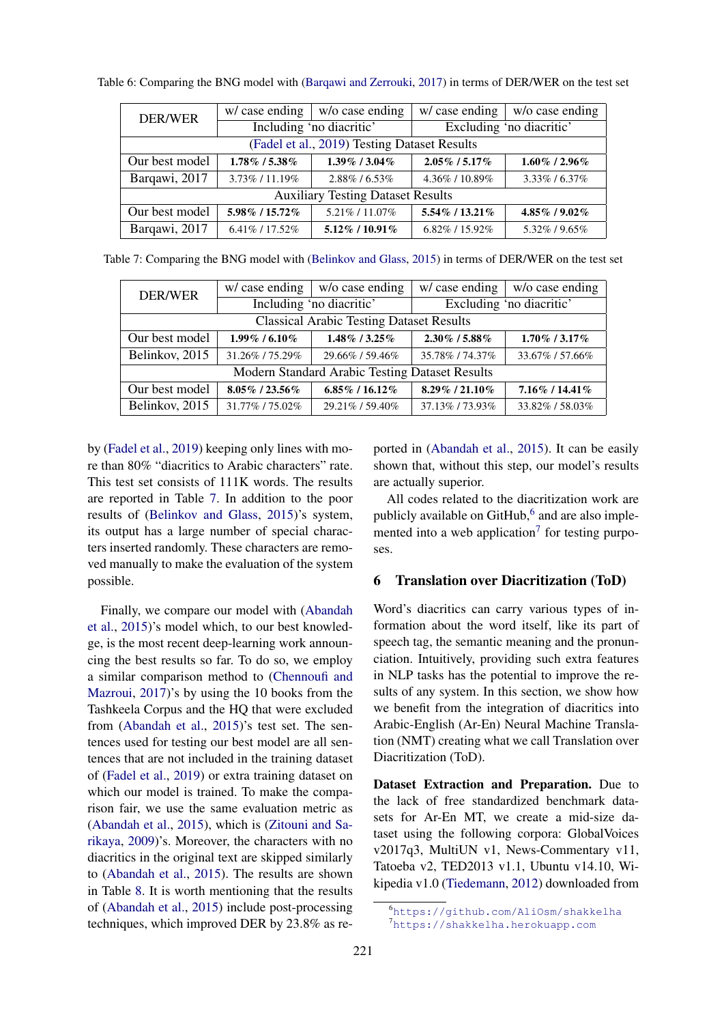| DER/WER                                  | w/ case ending                               | w/o case ending          | w/ case ending     | w/o case ending          |  |
|------------------------------------------|----------------------------------------------|--------------------------|--------------------|--------------------------|--|
|                                          |                                              | Including 'no diacritic' |                    | Excluding 'no diacritic' |  |
|                                          | (Fadel et al., 2019) Testing Dataset Results |                          |                    |                          |  |
| Our best model                           | 1.78% / 5.38%                                | $1.39\%$ / 3.04%         | $2.05\%$ / 5.17%   | $1.60\%$ / 2.96%         |  |
| Barqawi, 2017                            | 3.73%/11.19%                                 | $2.88\%$ / 6.53%         | 4.36\% / 10.89\%   | $3.33\%$ / 6.37%         |  |
| <b>Auxiliary Testing Dataset Results</b> |                                              |                          |                    |                          |  |
| Our best model                           | 5.98% / 15.72%                               | 5.21%/11.07%             | 5.54% / 13.21%     | 4.85%/9.02%              |  |
| Barqawi, 2017                            | 6.41\% / 17.52\%                             | $5.12\%$ / 10.91%        | $6.82\%$ / 15.92\% | 5.32\% / 9.65\%          |  |

<span id="page-6-1"></span>Table 6: Comparing the BNG model with [\(Barqawi and Zerrouki,](#page-9-5) [2017\)](#page-9-5) in terms of DER/WER on the test set

<span id="page-6-2"></span>Table 7: Comparing the BNG model with [\(Belinkov and Glass,](#page-9-3) [2015\)](#page-9-3) in terms of DER/WER on the test set

| DER/WER                                        | w/ case ending                                  | w/o case ending          | w/ case ending           | w/o case ending     |  |
|------------------------------------------------|-------------------------------------------------|--------------------------|--------------------------|---------------------|--|
|                                                |                                                 | Including 'no diacritic' | Excluding 'no diacritic' |                     |  |
|                                                | <b>Classical Arabic Testing Dataset Results</b> |                          |                          |                     |  |
| Our best model                                 | $1.99\%$ / 6.10%                                | $1.48\%$ / 3.25%         | $2.30\%$ / 5.88%         | $1.70\%$ / $3.17\%$ |  |
| Belinkov, 2015                                 | 31.26%/75.29%                                   | 29.66% / 59.46%          | 35.78% / 74.37%          | 33.67%/57.66%       |  |
| Modern Standard Arabic Testing Dataset Results |                                                 |                          |                          |                     |  |
| Our best model                                 | $8.05\%$ / 23.56%                               | $6.85\%$ / 16.12%        | 8.29%/21.10%             | 7.16% / 14.41%      |  |
| Belinkov, 2015                                 | 31.77%/75.02%                                   | 29.21\% / 59.40\%        | 37.13%/73.93%            | 33.82%/58.03%       |  |

by [\(Fadel et al.,](#page-9-0) [2019\)](#page-9-0) keeping only lines with more than 80% "diacritics to Arabic characters" rate. This test set consists of 111K words. The results are reported in Table [7.](#page-6-2) In addition to the poor results of [\(Belinkov and Glass,](#page-9-3) [2015\)](#page-9-3)'s system, its output has a large number of special characters inserted randomly. These characters are removed manually to make the evaluation of the system possible.

Finally, we compare our model with [\(Abandah](#page-9-4) [et al.,](#page-9-4) [2015\)](#page-9-4)'s model which, to our best knowledge, is the most recent deep-learning work announcing the best results so far. To do so, we employ a similar comparison method to [\(Chennoufi and](#page-9-16) [Mazroui,](#page-9-16) [2017\)](#page-9-16)'s by using the 10 books from the Tashkeela Corpus and the HQ that were excluded from [\(Abandah et al.,](#page-9-4) [2015\)](#page-9-4)'s test set. The sentences used for testing our best model are all sentences that are not included in the training dataset of [\(Fadel et al.,](#page-9-0) [2019\)](#page-9-0) or extra training dataset on which our model is trained. To make the comparison fair, we use the same evaluation metric as [\(Abandah et al.,](#page-9-4) [2015\)](#page-9-4), which is [\(Zitouni and Sa](#page-10-0)[rikaya,](#page-10-0) [2009\)](#page-10-0)'s. Moreover, the characters with no diacritics in the original text are skipped similarly to [\(Abandah et al.,](#page-9-4) [2015\)](#page-9-4). The results are shown in Table [8.](#page-7-0) It is worth mentioning that the results of [\(Abandah et al.,](#page-9-4) [2015\)](#page-9-4) include post-processing techniques, which improved DER by 23.8% as reported in [\(Abandah et al.,](#page-9-4) [2015\)](#page-9-4). It can be easily shown that, without this step, our model's results are actually superior.

All codes related to the diacritization work are publicly available on  $G$ it $H$ ub, $<sup>6</sup>$  $<sup>6</sup>$  $<sup>6</sup>$  and are also imple-</sup> mented into a web application<sup>[7](#page-6-4)</sup> for testing purposes.

#### <span id="page-6-0"></span>6 Translation over Diacritization (ToD)

Word's diacritics can carry various types of information about the word itself, like its part of speech tag, the semantic meaning and the pronunciation. Intuitively, providing such extra features in NLP tasks has the potential to improve the results of any system. In this section, we show how we benefit from the integration of diacritics into Arabic-English (Ar-En) Neural Machine Translation (NMT) creating what we call Translation over Diacritization (ToD).

Dataset Extraction and Preparation. Due to the lack of free standardized benchmark datasets for Ar-En MT, we create a mid-size dataset using the following corpora: GlobalVoices v2017q3, MultiUN v1, News-Commentary v11, Tatoeba v2, TED2013 v1.1, Ubuntu v14.10, Wikipedia v1.0 [\(Tiedemann,](#page-9-20) [2012\)](#page-9-20) downloaded from

<span id="page-6-4"></span><span id="page-6-3"></span><sup>6</sup><https://github.com/AliOsm/shakkelha> <sup>7</sup><https://shakkelha.herokuapp.com>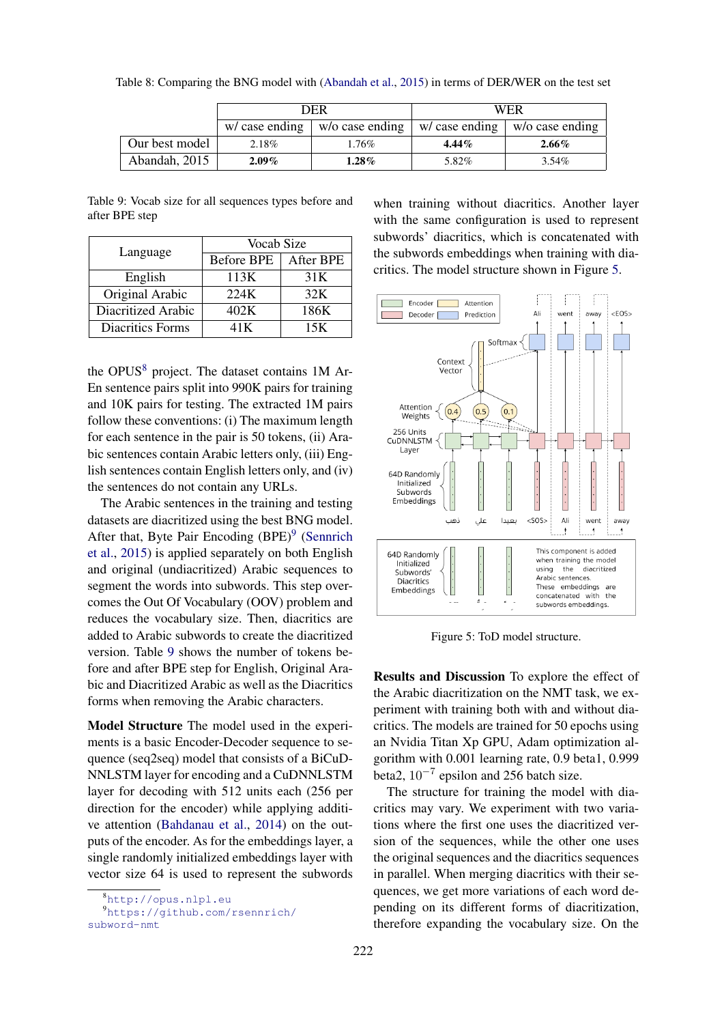|                | DER            |                 | WER             |                 |
|----------------|----------------|-----------------|-----------------|-----------------|
|                | w/ case ending | w/o case ending | $w/case$ ending | w/o case ending |
| Our best model | 2.18%          | 1.76%           | $4.44\%$        | $2.66\%$        |
| Abandah, 2015  | $2.09\%$       | $1.28\%$        | 5.82%           | $3.54\%$        |

<span id="page-7-0"></span>Table 8: Comparing the BNG model with [\(Abandah et al.,](#page-9-4) [2015\)](#page-9-4) in terms of DER/WER on the test set

<span id="page-7-3"></span>Table 9: Vocab size for all sequences types before and after BPE step

| Language           | Vocab Size |           |  |
|--------------------|------------|-----------|--|
|                    | Before BPE | After BPE |  |
| English            | 113K       | 31K       |  |
| Original Arabic    | 224K       | 32K       |  |
| Diacritized Arabic | 402K       | 186K      |  |
| Diacritics Forms   | 41 K       | 15K       |  |

the OPUS<sup>[8](#page-7-1)</sup> project. The dataset contains 1M Ar-En sentence pairs split into 990K pairs for training and 10K pairs for testing. The extracted 1M pairs follow these conventions: (i) The maximum length for each sentence in the pair is 50 tokens, (ii) Arabic sentences contain Arabic letters only, (iii) English sentences contain English letters only, and (iv) the sentences do not contain any URLs.

The Arabic sentences in the training and testing datasets are diacritized using the best BNG model. After that, Byte Pair Encoding (BPE)<sup>[9](#page-7-2)</sup> [\(Sennrich](#page-9-21) [et al.,](#page-9-21) [2015\)](#page-9-21) is applied separately on both English and original (undiacritized) Arabic sequences to segment the words into subwords. This step overcomes the Out Of Vocabulary (OOV) problem and reduces the vocabulary size. Then, diacritics are added to Arabic subwords to create the diacritized version. Table [9](#page-7-3) shows the number of tokens before and after BPE step for English, Original Arabic and Diacritized Arabic as well as the Diacritics forms when removing the Arabic characters.

Model Structure The model used in the experiments is a basic Encoder-Decoder sequence to sequence (seq2seq) model that consists of a BiCuD-NNLSTM layer for encoding and a CuDNNLSTM layer for decoding with 512 units each (256 per direction for the encoder) while applying additive attention [\(Bahdanau et al.,](#page-9-22) [2014\)](#page-9-22) on the outputs of the encoder. As for the embeddings layer, a single randomly initialized embeddings layer with vector size 64 is used to represent the subwords

when training without diacritics. Another layer with the same configuration is used to represent subwords' diacritics, which is concatenated with the subwords embeddings when training with diacritics. The model structure shown in Figure [5.](#page-7-4)

<span id="page-7-4"></span>

Figure 5: ToD model structure.

Results and Discussion To explore the effect of the Arabic diacritization on the NMT task, we experiment with training both with and without diacritics. The models are trained for 50 epochs using an Nvidia Titan Xp GPU, Adam optimization algorithm with 0.001 learning rate, 0.9 beta1, 0.999 beta2,  $10^{-7}$  epsilon and 256 batch size.

The structure for training the model with diacritics may vary. We experiment with two variations where the first one uses the diacritized version of the sequences, while the other one uses the original sequences and the diacritics sequences in parallel. When merging diacritics with their sequences, we get more variations of each word depending on its different forms of diacritization, therefore expanding the vocabulary size. On the

<span id="page-7-2"></span><span id="page-7-1"></span><sup>8</sup><http://opus.nlpl.eu>

<sup>9</sup>[https://github.com/rsennrich/](https://github.com/rsennrich/subword-nmt) [subword-nmt](https://github.com/rsennrich/subword-nmt)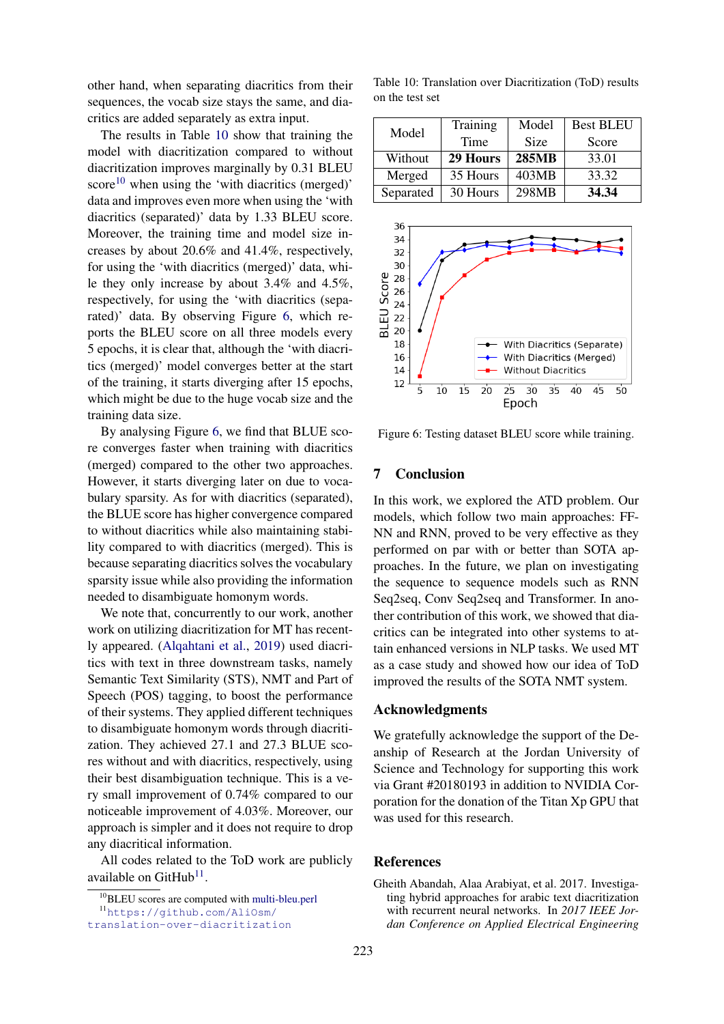other hand, when separating diacritics from their sequences, the vocab size stays the same, and diacritics are added separately as extra input.

The results in Table [10](#page-8-2) show that training the model with diacritization compared to without diacritization improves marginally by 0.31 BLEU score<sup>[10](#page-8-3)</sup> when using the 'with diacritics (merged)' data and improves even more when using the 'with diacritics (separated)' data by 1.33 BLEU score. Moreover, the training time and model size increases by about 20.6% and 41.4%, respectively, for using the 'with diacritics (merged)' data, while they only increase by about 3.4% and 4.5%, respectively, for using the 'with diacritics (separated)' data. By observing Figure [6,](#page-8-4) which reports the BLEU score on all three models every 5 epochs, it is clear that, although the 'with diacritics (merged)' model converges better at the start of the training, it starts diverging after 15 epochs, which might be due to the huge vocab size and the training data size.

By analysing Figure [6,](#page-8-4) we find that BLUE score converges faster when training with diacritics (merged) compared to the other two approaches. However, it starts diverging later on due to vocabulary sparsity. As for with diacritics (separated), the BLUE score has higher convergence compared to without diacritics while also maintaining stability compared to with diacritics (merged). This is because separating diacritics solves the vocabulary sparsity issue while also providing the information needed to disambiguate homonym words.

We note that, concurrently to our work, another work on utilizing diacritization for MT has recently appeared. [\(Alqahtani et al.,](#page-9-18) [2019\)](#page-9-18) used diacritics with text in three downstream tasks, namely Semantic Text Similarity (STS), NMT and Part of Speech (POS) tagging, to boost the performance of their systems. They applied different techniques to disambiguate homonym words through diacritization. They achieved 27.1 and 27.3 BLUE scores without and with diacritics, respectively, using their best disambiguation technique. This is a very small improvement of 0.74% compared to our noticeable improvement of 4.03%. Moreover, our approach is simpler and it does not require to drop any diacritical information.

All codes related to the ToD work are publicly available on  $G$ it $H$ ub<sup>[11](#page-8-5)</sup>.

<span id="page-8-2"></span>Table 10: Translation over Diacritization (ToD) results on the test set

|           | Training | Model        | <b>Best BLEU</b> |
|-----------|----------|--------------|------------------|
| Model     | Time     | <b>Size</b>  | Score            |
| Without   | 29 Hours | <b>285MB</b> | 33.01            |
| Merged    | 35 Hours | 403MB        | 33.32            |
| Separated | 30 Hours | 298MB        | 34.34            |

<span id="page-8-4"></span>

Figure 6: Testing dataset BLEU score while training.

## <span id="page-8-0"></span>7 Conclusion

In this work, we explored the ATD problem. Our models, which follow two main approaches: FF-NN and RNN, proved to be very effective as they performed on par with or better than SOTA approaches. In the future, we plan on investigating the sequence to sequence models such as RNN Seq2seq, Conv Seq2seq and Transformer. In another contribution of this work, we showed that diacritics can be integrated into other systems to attain enhanced versions in NLP tasks. We used MT as a case study and showed how our idea of ToD improved the results of the SOTA NMT system.

#### Acknowledgments

We gratefully acknowledge the support of the Deanship of Research at the Jordan University of Science and Technology for supporting this work via Grant #20180193 in addition to NVIDIA Corporation for the donation of the Titan Xp GPU that was used for this research.

## References

<span id="page-8-1"></span>Gheith Abandah, Alaa Arabiyat, et al. 2017. Investigating hybrid approaches for arabic text diacritization with recurrent neural networks. In *2017 IEEE Jordan Conference on Applied Electrical Engineering*

<span id="page-8-5"></span><span id="page-8-3"></span><sup>10</sup>BLEU scores are computed with [multi-bleu.perl](https://github.com/moses-smt/mosesdecoder/blob/master/scripts/generic/multi-bleu.perl)

<sup>11</sup>[https://github.com/AliOsm/](https://github.com/AliOsm/translation-over-diacritization)

[translation-over-diacritization](https://github.com/AliOsm/translation-over-diacritization)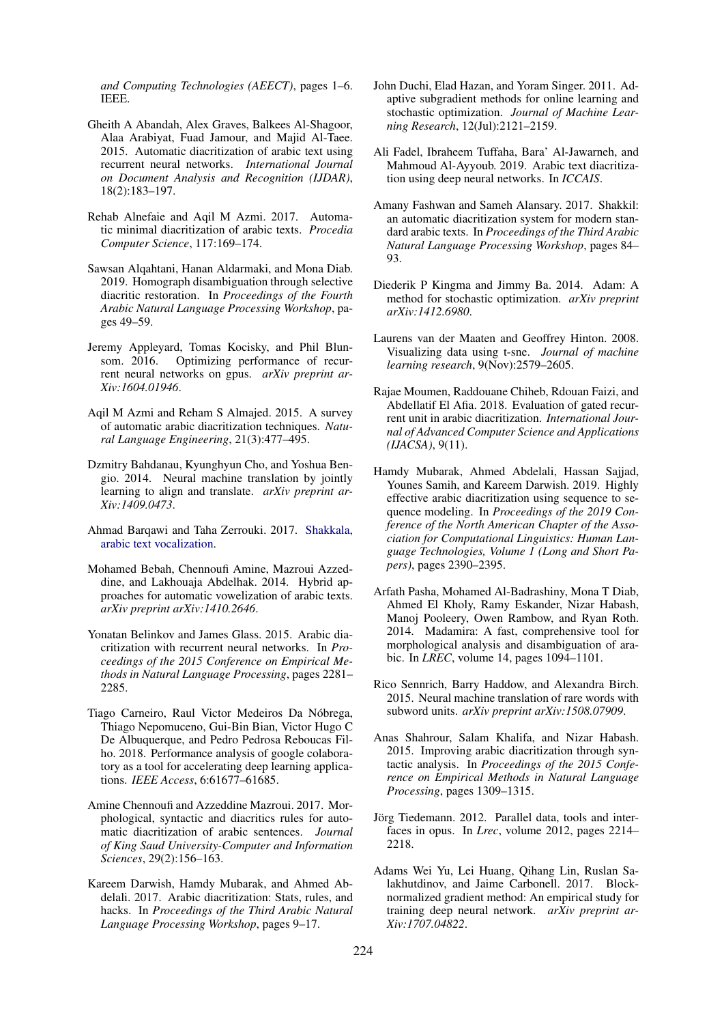*and Computing Technologies (AEECT)*, pages 1–6. IEEE.

- <span id="page-9-4"></span>Gheith A Abandah, Alex Graves, Balkees Al-Shagoor, Alaa Arabiyat, Fuad Jamour, and Majid Al-Taee. 2015. Automatic diacritization of arabic text using recurrent neural networks. *International Journal on Document Analysis and Recognition (IJDAR)*, 18(2):183–197.
- <span id="page-9-13"></span>Rehab Alnefaie and Aqil M Azmi. 2017. Automatic minimal diacritization of arabic texts. *Procedia Computer Science*, 117:169–174.
- <span id="page-9-18"></span>Sawsan Alqahtani, Hanan Aldarmaki, and Mona Diab. 2019. Homograph disambiguation through selective diacritic restoration. In *Proceedings of the Fourth Arabic Natural Language Processing Workshop*, pages 49–59.
- <span id="page-9-9"></span>Jeremy Appleyard, Tomas Kocisky, and Phil Blunsom. 2016. Optimizing performance of recurrent neural networks on gpus. *arXiv preprint ar-Xiv:1604.01946*.
- <span id="page-9-15"></span>Aqil M Azmi and Reham S Almajed. 2015. A survey of automatic arabic diacritization techniques. *Natural Language Engineering*, 21(3):477–495.
- <span id="page-9-22"></span>Dzmitry Bahdanau, Kyunghyun Cho, and Yoshua Bengio. 2014. Neural machine translation by jointly learning to align and translate. *arXiv preprint ar-Xiv:1409.0473*.
- <span id="page-9-5"></span>Ahmad Barqawi and Taha Zerrouki. 2017. [Shakkala,](https://github.com/Barqawiz/Shakkala) [arabic text vocalization.](https://github.com/Barqawiz/Shakkala)
- <span id="page-9-14"></span>Mohamed Bebah, Chennoufi Amine, Mazroui Azzeddine, and Lakhouaja Abdelhak. 2014. Hybrid approaches for automatic vowelization of arabic texts. *arXiv preprint arXiv:1410.2646*.
- <span id="page-9-3"></span>Yonatan Belinkov and James Glass. 2015. Arabic diacritization with recurrent neural networks. In *Proceedings of the 2015 Conference on Empirical Methods in Natural Language Processing*, pages 2281– 2285.
- <span id="page-9-10"></span>Tiago Carneiro, Raul Victor Medeiros Da Nóbrega, Thiago Nepomuceno, Gui-Bin Bian, Victor Hugo C De Albuquerque, and Pedro Pedrosa Reboucas Filho. 2018. Performance analysis of google colaboratory as a tool for accelerating deep learning applications. *IEEE Access*, 6:61677–61685.
- <span id="page-9-16"></span>Amine Chennoufi and Azzeddine Mazroui. 2017. Morphological, syntactic and diacritics rules for automatic diacritization of arabic sentences. *Journal of King Saud University-Computer and Information Sciences*, 29(2):156–163.
- <span id="page-9-2"></span>Kareem Darwish, Hamdy Mubarak, and Ahmed Abdelali. 2017. Arabic diacritization: Stats, rules, and hacks. In *Proceedings of the Third Arabic Natural Language Processing Workshop*, pages 9–17.
- <span id="page-9-7"></span>John Duchi, Elad Hazan, and Yoram Singer. 2011. Adaptive subgradient methods for online learning and stochastic optimization. *Journal of Machine Learning Research*, 12(Jul):2121–2159.
- <span id="page-9-0"></span>Ali Fadel, Ibraheem Tuffaha, Bara' Al-Jawarneh, and Mahmoud Al-Ayyoub. 2019. Arabic text diacritization using deep neural networks. In *ICCAIS*.
- <span id="page-9-17"></span>Amany Fashwan and Sameh Alansary. 2017. Shakkil: an automatic diacritization system for modern standard arabic texts. In *Proceedings of the Third Arabic Natural Language Processing Workshop*, pages 84– 93.
- <span id="page-9-8"></span>Diederik P Kingma and Jimmy Ba. 2014. Adam: A method for stochastic optimization. *arXiv preprint arXiv:1412.6980*.
- Laurens van der Maaten and Geoffrey Hinton. 2008. Visualizing data using t-sne. *Journal of machine learning research*, 9(Nov):2579–2605.
- <span id="page-9-19"></span>Rajae Moumen, Raddouane Chiheb, Rdouan Faizi, and Abdellatif El Afia. 2018. Evaluation of gated recurrent unit in arabic diacritization. *International Journal of Advanced Computer Science and Applications (IJACSA)*, 9(11).
- <span id="page-9-6"></span>Hamdy Mubarak, Ahmed Abdelali, Hassan Sajjad, Younes Samih, and Kareem Darwish. 2019. Highly effective arabic diacritization using sequence to sequence modeling. In *Proceedings of the 2019 Conference of the North American Chapter of the Association for Computational Linguistics: Human Language Technologies, Volume 1 (Long and Short Papers)*, pages 2390–2395.
- <span id="page-9-1"></span>Arfath Pasha, Mohamed Al-Badrashiny, Mona T Diab, Ahmed El Kholy, Ramy Eskander, Nizar Habash, Manoj Pooleery, Owen Rambow, and Ryan Roth. 2014. Madamira: A fast, comprehensive tool for morphological analysis and disambiguation of arabic. In *LREC*, volume 14, pages 1094–1101.
- <span id="page-9-21"></span>Rico Sennrich, Barry Haddow, and Alexandra Birch. 2015. Neural machine translation of rare words with subword units. *arXiv preprint arXiv:1508.07909*.
- <span id="page-9-12"></span>Anas Shahrour, Salam Khalifa, and Nizar Habash. 2015. Improving arabic diacritization through syntactic analysis. In *Proceedings of the 2015 Conference on Empirical Methods in Natural Language Processing*, pages 1309–1315.
- <span id="page-9-20"></span>Jörg Tiedemann. 2012. Parallel data, tools and interfaces in opus. In *Lrec*, volume 2012, pages 2214– 2218.
- <span id="page-9-11"></span>Adams Wei Yu, Lei Huang, Qihang Lin, Ruslan Salakhutdinov, and Jaime Carbonell. 2017. Blocknormalized gradient method: An empirical study for training deep neural network. *arXiv preprint ar-Xiv:1707.04822*.